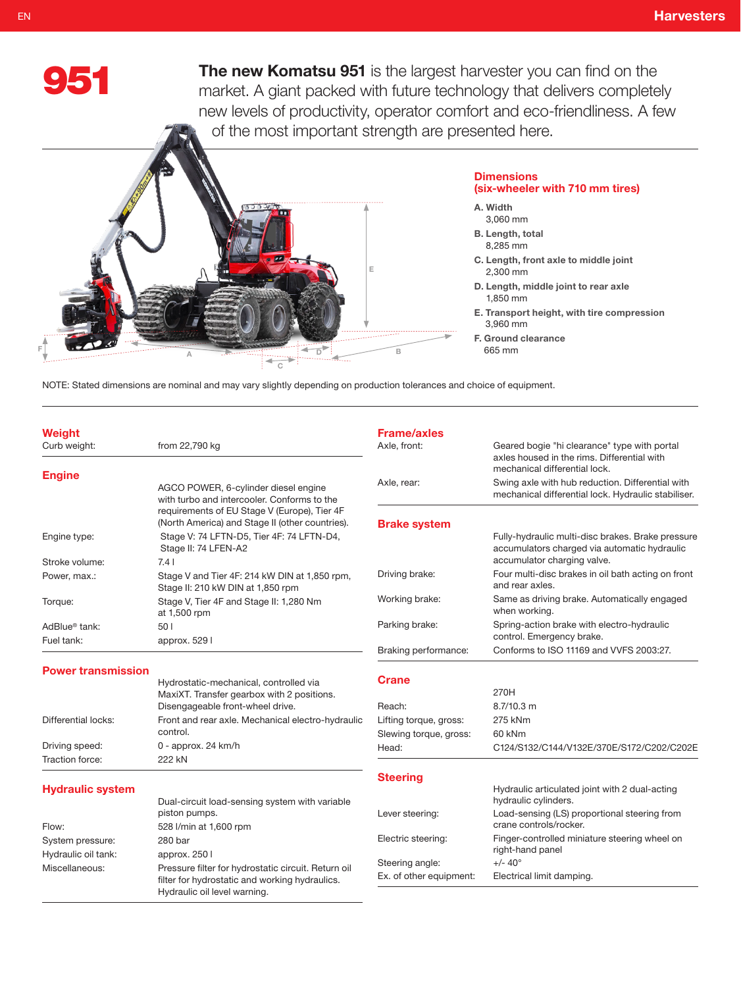

EN

The new Komatsu 951 is the largest harvester you can find on the market. A giant packed with future technology that delivers completely new levels of productivity, operator comfort and eco-friendliness. A few of the most important strength are presented here.



NOTE: Stated dimensions are nominal and may vary slightly depending on production tolerances and choice of equipment.

| <b>Hydraulic system</b>                 |                                                                                                 | <b>Steering</b>                    | Hydraulic articulated joint with 2 dual-acting                                                                                   |  |  |
|-----------------------------------------|-------------------------------------------------------------------------------------------------|------------------------------------|----------------------------------------------------------------------------------------------------------------------------------|--|--|
| Traction force:                         | 222 kN                                                                                          |                                    |                                                                                                                                  |  |  |
| Driving speed:                          | $0$ - approx. 24 km/h                                                                           | Head:                              | C124/S132/C144/V132E/370E/S172/C202/C202E                                                                                        |  |  |
|                                         | control.                                                                                        | Slewing torque, gross:             | 60 kNm                                                                                                                           |  |  |
| Differential locks:                     | Front and rear axle. Mechanical electro-hydraulic                                               | Lifting torque, gross:             | 275 kNm                                                                                                                          |  |  |
|                                         | MaxiXT. Transfer gearbox with 2 positions.<br>Disengageable front-wheel drive.                  | Reach:                             | 270H<br>$8.7/10.3$ m                                                                                                             |  |  |
| <b>Power transmission</b>               | Hydrostatic-mechanical, controlled via                                                          | <b>Crane</b>                       |                                                                                                                                  |  |  |
|                                         |                                                                                                 | Braking performance:               | Conforms to ISO 11169 and VVFS 2003:27.                                                                                          |  |  |
| AdBlue <sup>®</sup> tank:<br>Fuel tank: | 501<br>approx. 529 l                                                                            | Parking brake:                     | Spring-action brake with electro-hydraulic<br>control. Emergency brake.                                                          |  |  |
| Torque:                                 | Stage V, Tier 4F and Stage II: 1,280 Nm<br>at 1,500 rpm                                         | Working brake:                     | Same as driving brake. Automatically engaged<br>when working.                                                                    |  |  |
| Power, max.:                            | Stage V and Tier 4F: 214 kW DIN at 1,850 rpm,<br>Stage II: 210 kW DIN at 1,850 rpm              | Driving brake:                     | Four multi-disc brakes in oil bath acting on front<br>and rear axles.                                                            |  |  |
| Engine type:<br>Stroke volume:          | Stage V: 74 LFTN-D5, Tier 4F: 74 LFTN-D4,<br>Stage II: 74 LFEN-A2<br>7.41                       |                                    | Fully-hydraulic multi-disc brakes. Brake pressure<br>accumulators charged via automatic hydraulic<br>accumulator charging valve. |  |  |
|                                         | requirements of EU Stage V (Europe), Tier 4F<br>(North America) and Stage II (other countries). | <b>Brake system</b>                |                                                                                                                                  |  |  |
|                                         | AGCO POWER, 6-cylinder diesel engine<br>with turbo and intercooler. Conforms to the             | Axle, rear:                        | Swing axle with hub reduction. Differential with<br>mechanical differential lock. Hydraulic stabiliser.                          |  |  |
| <b>Engine</b>                           |                                                                                                 |                                    | axles housed in the rims. Differential with<br>mechanical differential lock.                                                     |  |  |
| <b>Weight</b><br>Curb weight:           | from 22,790 kg                                                                                  | <b>Frame/axles</b><br>Axle, front: | Geared bogie "hi clearance" type with portal                                                                                     |  |  |

hydraulic cylinders. Lever steering: Load-sensing (LS) proportional steering from crane controls/rocker. Electric steering: Finger-controlled miniature steering wheel on right-hand panel

Steering angle:  $+/- 40^{\circ}$ 

Ex. of other equipment: Electrical limit damping.

|                     | Dual-circuit load-sensing system with variable<br>piston pumps.                                                                       |
|---------------------|---------------------------------------------------------------------------------------------------------------------------------------|
| Flow:               | 528 I/min at 1,600 rpm                                                                                                                |
| System pressure:    | 280 bar                                                                                                                               |
| Hydraulic oil tank: | approx. 250 l                                                                                                                         |
| Miscellaneous:      | Pressure filter for hydrostatic circuit. Return oil<br>filter for hydrostatic and working hydraulics.<br>Hydraulic oil level warning. |